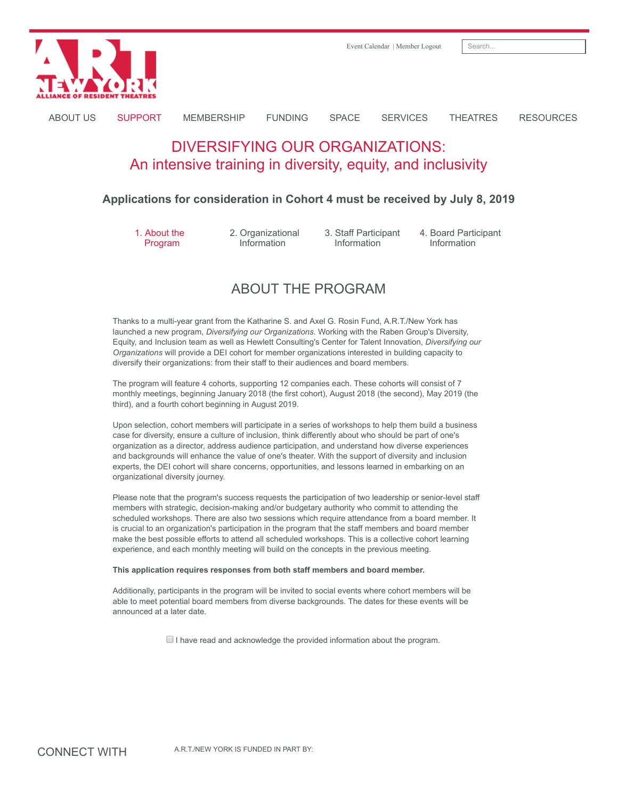

[Event Calendar](https://artny.memberclicks.net/index.php?option=com_mc&view=mc&mcid=8) | [Member Logout](https://artny.memberclicks.net/logout) | Search.

[ABOUT US](https://artny.memberclicks.net/about-us) [SUPPORT](https://artny.memberclicks.net/support) [MEMBERSHIP](https://artny.memberclicks.net/membership) [FUNDING](https://artny.memberclicks.net/funding) [SPACE](https://artny.memberclicks.net/space) [SERVICES](https://artny.memberclicks.net/services) [THEATRES](https://artny.memberclicks.net/theatres) [RESOURCES](https://artny.memberclicks.net/resources)

# DIVERSIFYING OUR ORGANIZATIONS: An intensive training in diversity, equity, and inclusivity

### **Applications for consideration in Cohort 4 must be received by July 8, 2019**

1. About the Program

2. Organizational Information

3. Staff Participant Information

4. Board Participant Information

## ABOUT THE PROGRAM

Thanks to a multi-year grant from the Katharine S. and Axel G. Rosin Fund, A.R.T./New York has launched a new program, *Diversifying our Organizations*. Working with the Raben Group's Diversity, Equity, and Inclusion team as well as Hewlett Consulting's Center for Talent Innovation, *Diversifying our Organizations* will provide a DEI cohort for member organizations interested in building capacity to diversify their organizations: from their staff to their audiences and board members.

The program will feature 4 cohorts, supporting 12 companies each. These cohorts will consist of 7 monthly meetings, beginning January 2018 (the first cohort), August 2018 (the second), May 2019 (the third), and a fourth cohort beginning in August 2019.

Upon selection, cohort members will participate in a series of workshops to help them build a business case for diversity, ensure a culture of inclusion, think differently about who should be part of one's organization as a director, address audience participation, and understand how diverse experiences and backgrounds will enhance the value of one's theater. With the support of diversity and inclusion experts, the DEI cohort will share concerns, opportunities, and lessons learned in embarking on an organizational diversity journey.

Please note that the program's success requests the participation of two leadership or senior-level staff members with strategic, decision-making and/or budgetary authority who commit to attending the scheduled workshops. There are also two sessions which require attendance from a board member. It is crucial to an organization's participation in the program that the staff members and board member make the best possible efforts to attend all scheduled workshops. This is a collective cohort learning experience, and each monthly meeting will build on the concepts in the previous meeting.

#### **This application requires responses from both staff members and board member.**

Additionally, participants in the program will be invited to social events where cohort members will be able to meet potential board members from diverse backgrounds. The dates for these events will be announced at a later date.

 $\Box$  I have read and acknowledge the provided information about the program.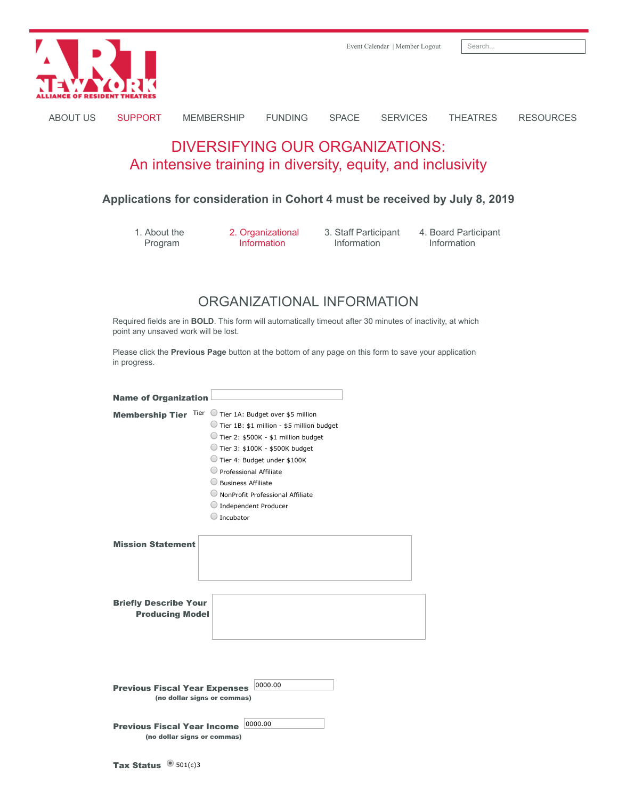

[ABOUT US](https://artny.memberclicks.net/about-us) [SUPPORT](https://artny.memberclicks.net/support) [MEMBERSHIP](https://artny.memberclicks.net/membership) [FUNDING](https://artny.memberclicks.net/funding) [SPACE](https://artny.memberclicks.net/space) [SERVICES](https://artny.memberclicks.net/services) [THEATRES](https://artny.memberclicks.net/theatres) [RESOURCES](https://artny.memberclicks.net/resources)

# DIVERSIFYING OUR ORGANIZATIONS: An intensive training in diversity, equity, and inclusivity

### **Applications for consideration in Cohort 4 must be received by July 8, 2019**

1. About the Program

2. Organizational Information

3. Staff Participant Information

4. Board Participant Information

## ORGANIZATIONAL INFORMATION

Required fields are in **BOLD**. This form will automatically timeout after 30 minutes of inactivity, at which point any unsaved work will be lost.

Please click the **Previous Page** button at the bottom of any page on this form to save your application in progress.

| <b>Name of Organization</b>                                       |                                                                                                                                                                                                                                                                                                                                                        |
|-------------------------------------------------------------------|--------------------------------------------------------------------------------------------------------------------------------------------------------------------------------------------------------------------------------------------------------------------------------------------------------------------------------------------------------|
|                                                                   | Membership Tier Tier Tier Tier 1A: Budget over \$5 million<br>Tier 1B: \$1 million - \$5 million budget<br>Tier 2: \$500K - \$1 million budget<br>Tier 3: \$100K - \$500K budget<br>Tier 4: Budget under \$100K<br>Professional Affiliate<br><b>Business Affiliate</b><br>NonProfit Professional Affiliate<br><b>Independent Producer</b><br>Incubator |
| <b>Mission Statement</b>                                          |                                                                                                                                                                                                                                                                                                                                                        |
| <b>Briefly Describe Your</b><br><b>Producing Model</b>            |                                                                                                                                                                                                                                                                                                                                                        |
|                                                                   |                                                                                                                                                                                                                                                                                                                                                        |
| <b>Previous Fiscal Year Expenses</b>                              | 0000.00<br>(no dollar signs or commas)                                                                                                                                                                                                                                                                                                                 |
| <b>Previous Fiscal Year Income</b><br>(no dollar signs or commas) | 0000.00                                                                                                                                                                                                                                                                                                                                                |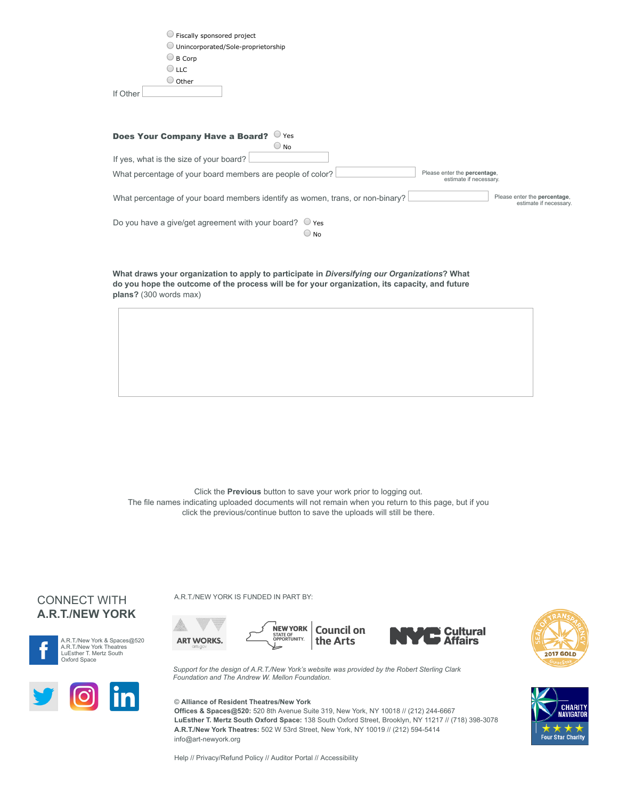| Fiscally sponsored project                                                     |                              |
|--------------------------------------------------------------------------------|------------------------------|
| Unincorporated/Sole-proprietorship                                             |                              |
| $\bigcirc$ B Corp                                                              |                              |
| $\cup$ LLC                                                                     |                              |
| $\cup$ Other                                                                   |                              |
| If Other                                                                       |                              |
|                                                                                |                              |
|                                                                                |                              |
|                                                                                |                              |
| <b>Does Your Company Have a Board?</b><br>$\cup$ Yes                           |                              |
| $\bigcirc$ No                                                                  |                              |
| If yes, what is the size of your board?                                        |                              |
| What percentage of your board members are people of color?                     | Please enter the percentage, |
|                                                                                | estimate if necessary.       |
| What percentage of your board members identify as women, trans, or non-binary? | Please enter the percentage, |
|                                                                                | estimate if necessary.       |
| Do you have a give/get agreement with your board?<br>Yes                       |                              |
| $\cup$ No                                                                      |                              |
|                                                                                |                              |

**What draws your organization to apply to participate in** *Diversifying our Organizations***? What do you hope the outcome of the process will be for your organization, its capacity, and future plans?** (300 words max)

Click the **Previous** button to save your work prior to logging out. The file names indicating uploaded documents will not remain when you return to this page, but if you click the previous/continue button to save the uploads will still be there.







A.R.T./NEW YORK IS FUNDED IN PART BY:







*Support for the design of A.R.T./New York's website was provided by the Robert Sterling Clark Foundation and The Andrew W. Mellon Foundation.*

#### © **Alliance of Resident Theatres/New York**

**Offices & Spaces@520:** 520 8th Avenue Suite 319, New York, NY 10018 // (212) 244-6667 **LuEsther T. Mertz South Oxford Space:** 138 South Oxford Street, Brooklyn, NY 11217 // (718) 398-3078 **A.R.T./New York Theatres:** 502 W 53rd Street, New York, NY 10019 // (212) 594-5414 info@art-newyork.org

[Help](http://www.art-newyork.org/help) // [Privacy/Refund Policy](http://www.art-newyork.org/privacy-policy-refund-policy) // [Auditor Portal](http://www.art-newyork.org/nytp-auditor-home) // [Accessibility](https://www.art-newyork.org/accessibility)



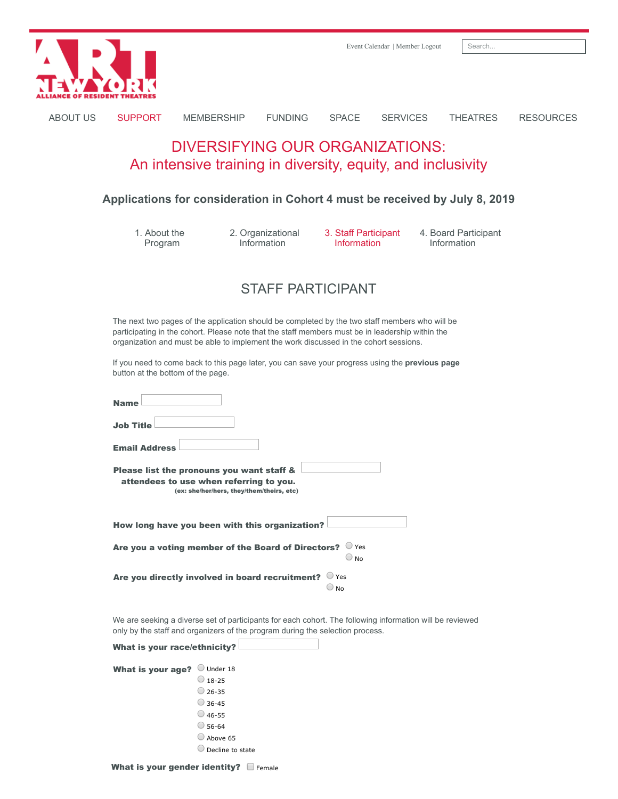

### **Applications for consideration in Cohort 4 must be received by July 8, 2019**

1. About the Program

2. Organizational Information

3. Staff Participant **Information** 

4. Board Participant Information

## STAFF PARTICIPANT

The next two pages of the application should be completed by the two staff members who will be participating in the cohort. Please note that the staff members must be in leadership within the organization and must be able to implement the work discussed in the cohort sessions.

If you need to come back to this page later, you can save your progress using the **previous page** button at the bottom of the page.

| <b>Name</b>                                                                                                                       |  |
|-----------------------------------------------------------------------------------------------------------------------------------|--|
| <b>Job Title</b>                                                                                                                  |  |
| <b>Email Address</b>                                                                                                              |  |
| Please list the pronouns you want staff &<br>attendees to use when referring to you.<br>(ex: she/her/hers, they/them/theirs, etc) |  |
| How long have you been with this organization?                                                                                    |  |
| $\cup$ Yes<br>Are you a voting member of the Board of Directors?<br>No                                                            |  |
| Yes<br>Are you directly involved in board recruitment?<br>No                                                                      |  |

We are seeking a diverse set of participants for each cohort. The following information will be reviewed only by the staff and organizers of the program during the selection process.

|  | What is your race/ethnicity? |  |
|--|------------------------------|--|
|  |                              |  |

| What is your age? | Under 18         |
|-------------------|------------------|
|                   | $18 - 25$        |
|                   | $26 - 35$        |
|                   | $36 - 45$        |
|                   | $46 - 55$        |
|                   | 56-64            |
|                   | Above 65         |
|                   | Decline to state |

What is your gender identity?  $\Box$  Female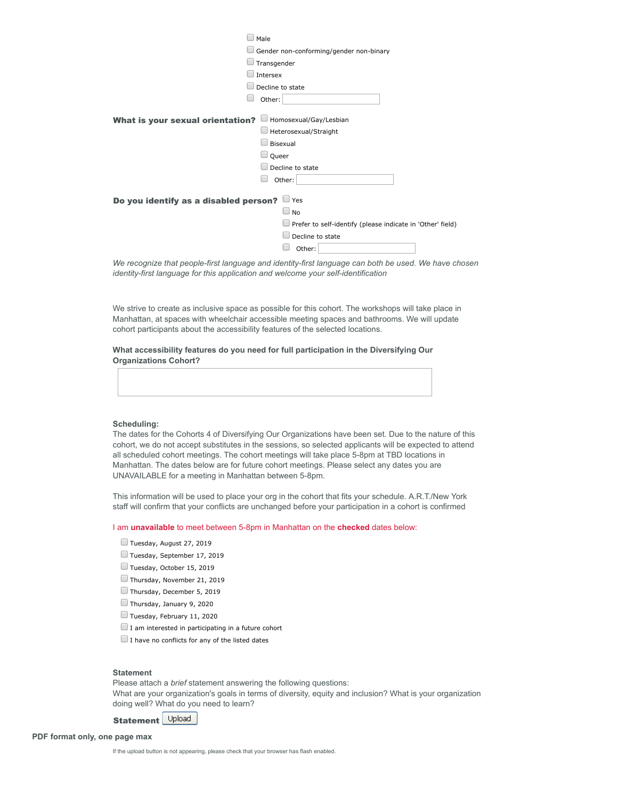| Male                                    |                                                                   |  |  |  |
|-----------------------------------------|-------------------------------------------------------------------|--|--|--|
|                                         | Gender non-conforming/gender non-binary                           |  |  |  |
|                                         | Transgender                                                       |  |  |  |
|                                         | Intersex                                                          |  |  |  |
|                                         | Decline to state                                                  |  |  |  |
|                                         | Other:                                                            |  |  |  |
|                                         |                                                                   |  |  |  |
| <b>What is your sexual orientation?</b> | Homosexual/Gay/Lesbian                                            |  |  |  |
|                                         | Heterosexual/Straight                                             |  |  |  |
|                                         | Bisexual                                                          |  |  |  |
|                                         | Queer                                                             |  |  |  |
|                                         | Decline to state                                                  |  |  |  |
|                                         | Other:                                                            |  |  |  |
|                                         |                                                                   |  |  |  |
| Do you identify as a disabled person?   | $\Box$ Yes                                                        |  |  |  |
|                                         | $\Box$ No                                                         |  |  |  |
|                                         | $\Box$ Prefer to self-identify (please indicate in 'Other' field) |  |  |  |
|                                         | Decline to state                                                  |  |  |  |
|                                         | Other:                                                            |  |  |  |
|                                         |                                                                   |  |  |  |

*We recognize that people-first language and identity-first language can both be used. We have chosen identity-first language for this application and welcome your self-identification*

We strive to create as inclusive space as possible for this cohort. The workshops will take place in Manhattan, at spaces with wheelchair accessible meeting spaces and bathrooms. We will update cohort participants about the accessibility features of the selected locations.

**What accessibility features do you need for full participation in the Diversifying Our Organizations Cohort?**

#### **Scheduling:**

The dates for the Cohorts 4 of Diversifying Our Organizations have been set. Due to the nature of this cohort, we do not accept substitutes in the sessions, so selected applicants will be expected to attend all scheduled cohort meetings. The cohort meetings will take place 5-8pm at TBD locations in Manhattan. The dates below are for future cohort meetings. Please select any dates you are UNAVAILABLE for a meeting in Manhattan between 5-8pm.

This information will be used to place your org in the cohort that fits your schedule. A.R.T./New York staff will confirm that your conflicts are unchanged before your participation in a cohort is confirmed

I am **unavailable** to meet between 5-8pm in Manhattan on the **checked** dates below:

- Tuesday, August 27, 2019
- Tuesday, September 17, 2019
- Tuesday, October 15, 2019
- Thursday, November 21, 2019
- Thursday, December 5, 2019
- Thursday, January 9, 2020
- Tuesday, February 11, 2020
- $\Box$  I am interested in participating in a future cohort
- $\Box$  I have no conflicts for any of the listed dates

#### **Statement**

Please attach a *brief* statement answering the following questions: What are your organization's goals in terms of diversity, equity and inclusion? What is your organization doing well? What do you need to learn?

Upload Statement

**PDF format only, one page max**

If the upload button is not appearing, please check that your browser has flash enabled.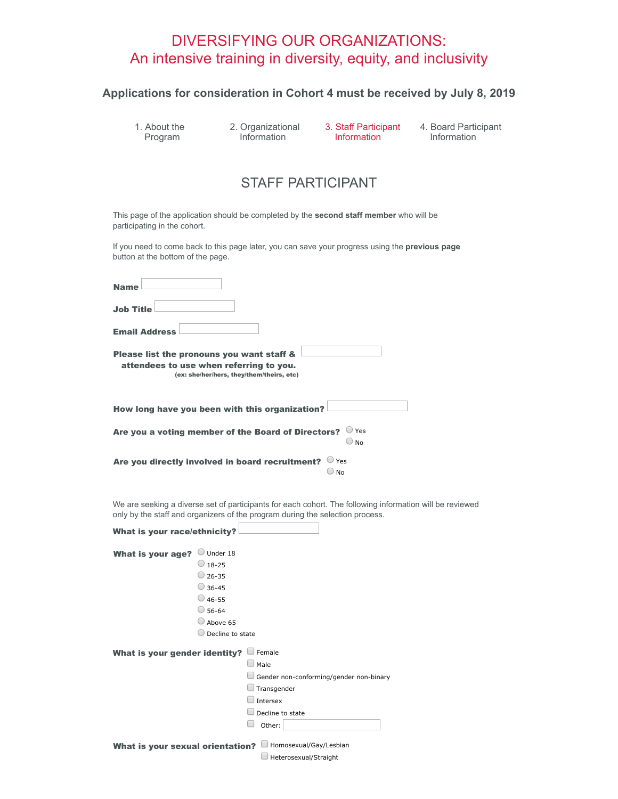# DIVERSIFYING OUR ORGANIZATIONS: An intensive training in diversity, equity, and inclusivity

## **Applications for consideration in Cohort 4 must be received by July 8, 2019**

1. About the Program

2. Organizational Information

3. Staff Participant Information

4. Board Participant Information

## STAFF PARTICIPANT

This page of the application should be completed by the **second staff member** who will be participating in the cohort.

If you need to come back to this page later, you can save your progress using the **previous page** button at the bottom of the page.

| <b>Name</b>                                                                                                                       |
|-----------------------------------------------------------------------------------------------------------------------------------|
| <b>Job Title</b>                                                                                                                  |
| <b>Email Address</b>                                                                                                              |
| Please list the pronouns you want staff &<br>attendees to use when referring to you.<br>(ex: she/her/hers, they/them/theirs, etc) |
| How long have you been with this organization?                                                                                    |
| Are you a voting member of the Board of Directors?<br>$\cup$ Yes<br>No                                                            |
| Are you directly involved in board recruitment?<br>Yes<br>No                                                                      |

We are seeking a diverse set of participants for each cohort. The following information will be reviewed only by the staff and organizers of the program during the selection process.

| <b>What is your race/ethnicity?</b>     |                  |                                         |
|-----------------------------------------|------------------|-----------------------------------------|
| What is your age?                       | Under 18         |                                         |
|                                         | $\cup$ 18-25     |                                         |
|                                         | $26 - 35$        |                                         |
|                                         | $\bigcirc$ 36-45 |                                         |
|                                         | 46-55 (          |                                         |
|                                         | 56-64            |                                         |
|                                         | Above 65         |                                         |
|                                         | Decline to state |                                         |
| What is your gender identity?           |                  | Female                                  |
|                                         |                  | Male                                    |
|                                         |                  | Gender non-conforming/gender non-binary |
|                                         |                  | Transgender                             |
|                                         |                  | Intersex                                |
|                                         |                  | Decline to state                        |
|                                         |                  | Other:                                  |
|                                         |                  |                                         |
| <b>What is your sexual orientation?</b> |                  | Homosexual/Gay/Lesbian                  |
|                                         |                  | Heterosexual/Straight                   |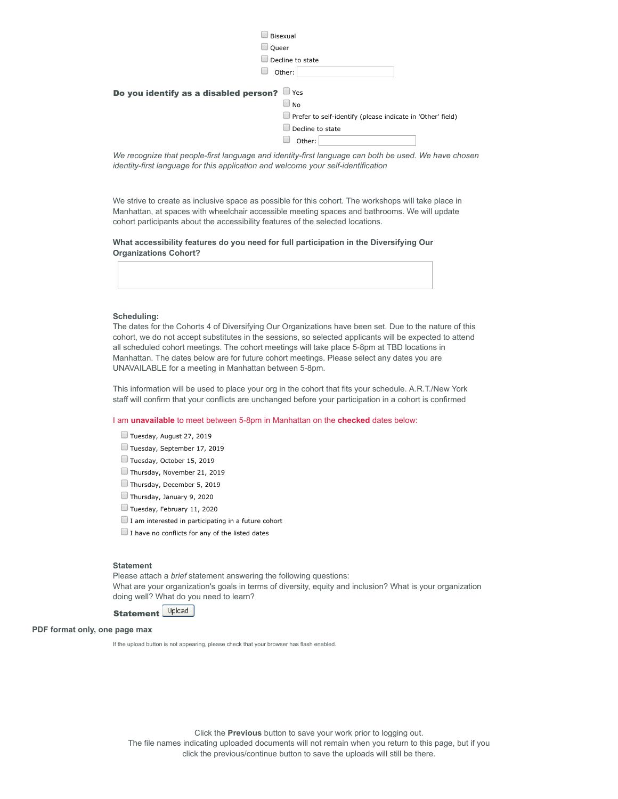|                                       | Bisexual                                                                                                                   |
|---------------------------------------|----------------------------------------------------------------------------------------------------------------------------|
| Queer                                 |                                                                                                                            |
|                                       | Decline to state                                                                                                           |
|                                       | Other:                                                                                                                     |
| Do you identify as a disabled person? | $\Box$ Yes<br>$\Box$ No<br>$\Box$ Prefer to self-identify (please indicate in 'Other' field)<br>Decline to state<br>Other: |
|                                       |                                                                                                                            |

*We recognize that people-first language and identity-first language can both be used. We have chosen identity-first language for this application and welcome your self-identification*

We strive to create as inclusive space as possible for this cohort. The workshops will take place in Manhattan, at spaces with wheelchair accessible meeting spaces and bathrooms. We will update cohort participants about the accessibility features of the selected locations.

**What accessibility features do you need for full participation in the Diversifying Our Organizations Cohort?**

#### **Scheduling:**

The dates for the Cohorts 4 of Diversifying Our Organizations have been set. Due to the nature of this cohort, we do not accept substitutes in the sessions, so selected applicants will be expected to attend all scheduled cohort meetings. The cohort meetings will take place 5-8pm at TBD locations in Manhattan. The dates below are for future cohort meetings. Please select any dates you are UNAVAILABLE for a meeting in Manhattan between 5-8pm.

This information will be used to place your org in the cohort that fits your schedule. A.R.T./New York staff will confirm that your conflicts are unchanged before your participation in a cohort is confirmed

#### I am **unavailable** to meet between 5-8pm in Manhattan on the **checked** dates below:

- Tuesday, August 27, 2019
- Tuesday, September 17, 2019
- Tuesday, October 15, 2019
- Thursday, November 21, 2019
- Thursday, December 5, 2019
- Thursday, January 9, 2020
- Tuesday, February 11, 2020
- $\Box$  I am interested in participating in a future cohort
- $\Box$  I have no conflicts for any of the listed dates

#### **Statement**

Please attach a *brief* statement answering the following questions: What are your organization's goals in terms of diversity, equity and inclusion? What is your organization doing well? What do you need to learn?

### **Statement Uplcad**

#### **PDF format only, one page max**

If the upload button is not appearing, please check that your browser has flash enabled.

Click the **Previous** button to save your work prior to logging out. The file names indicating uploaded documents will not remain when you return to this page, but if you

click the previous/continue button to save the uploads will still be there.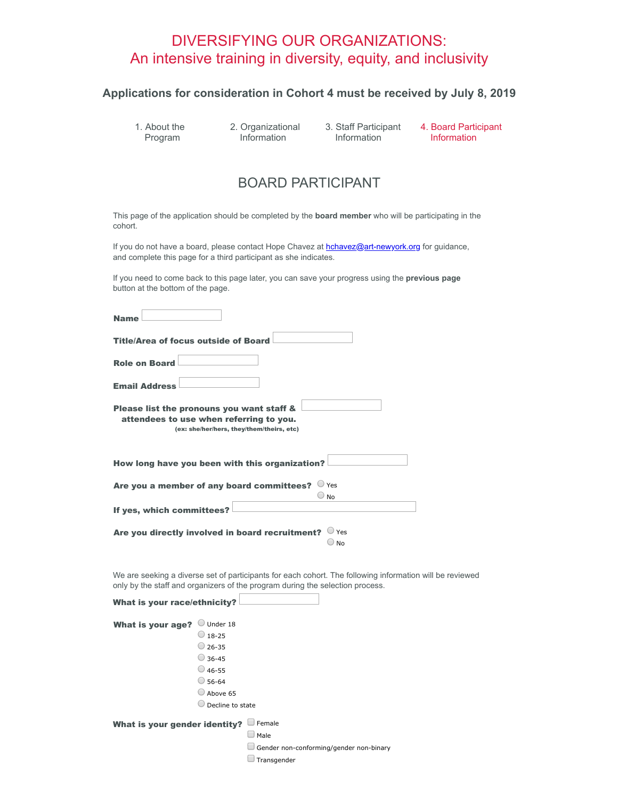# DIVERSIFYING OUR ORGANIZATIONS: An intensive training in diversity, equity, and inclusivity

### **Applications for consideration in Cohort 4 must be received by July 8, 2019**

1. About the Program

2. Organizational Information

3. Staff Participant **Information** 

4. Board Participant Information

## BOARD PARTICIPANT

This page of the application should be completed by the **board member** who will be participating in the cohort.

If you do not have a board, please contact Hope Chavez at **hchavez@art-newyork.org** for guidance, and complete this page for a third participant as she indicates.

If you need to come back to this page later, you can save your progress using the **previous page** button at the bottom of the page.

| <b>Name</b>                                                                                                                       |
|-----------------------------------------------------------------------------------------------------------------------------------|
| <b>Title/Area of focus outside of Board</b>                                                                                       |
| <b>Role on Board</b>                                                                                                              |
| <b>Email Address</b>                                                                                                              |
| Please list the pronouns you want staff &<br>attendees to use when referring to you.<br>(ex: she/her/hers, they/them/theirs, etc) |
| How long have you been with this organization?                                                                                    |
| $\cup$ Yes<br>Are you a member of any board committees?<br>N <sub>0</sub>                                                         |
| If yes, which committees?                                                                                                         |
| Yes<br>Are you directly involved in board recruitment?<br>No                                                                      |

We are seeking a diverse set of participants for each cohort. The following information will be reviewed only by the staff and organizers of the program during the selection process.

| What is your race/ethnicity?  |                  |        |                                         |
|-------------------------------|------------------|--------|-----------------------------------------|
| What is your age?             | Under 18         |        |                                         |
|                               | $18 - 25$        |        |                                         |
|                               | $26 - 35$        |        |                                         |
|                               | $36 - 45$        |        |                                         |
|                               | $46 - 55$        |        |                                         |
|                               | 56-64            |        |                                         |
|                               | Above 65         |        |                                         |
|                               | Decline to state |        |                                         |
| What is your gender identity? |                  | Female |                                         |
|                               |                  | Male   |                                         |
|                               |                  |        | Gender non-conforming/gender non-binary |

 $\Box$  Transgender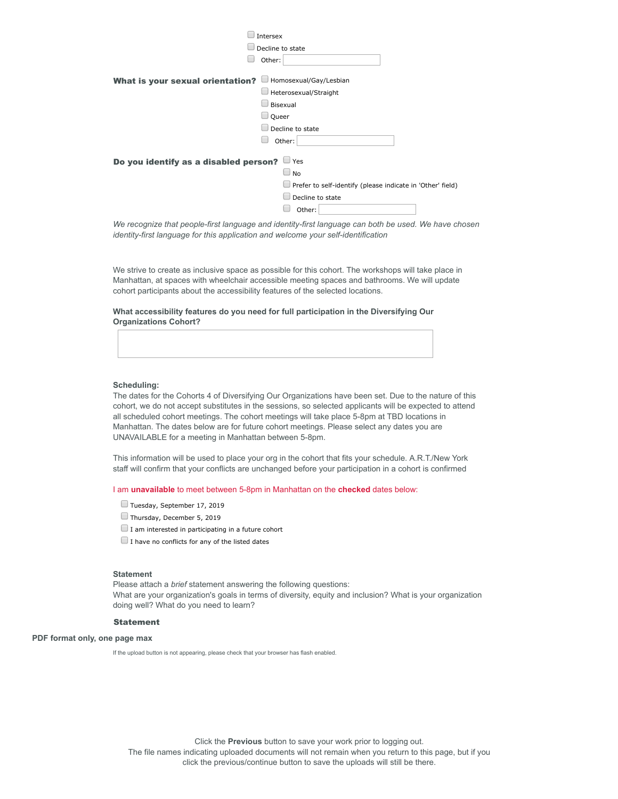|                                                                                                      | Intersex                                                   |
|------------------------------------------------------------------------------------------------------|------------------------------------------------------------|
|                                                                                                      | Decline to state                                           |
|                                                                                                      | Other:                                                     |
|                                                                                                      |                                                            |
| <b>What is your sexual orientation?</b>                                                              | Homosexual/Gay/Lesbian                                     |
|                                                                                                      | Heterosexual/Straight                                      |
|                                                                                                      | Bisexual                                                   |
|                                                                                                      | Queer                                                      |
|                                                                                                      | Decline to state                                           |
|                                                                                                      | Other:                                                     |
|                                                                                                      |                                                            |
| $\Box$ Yes<br>Do you identify as a disabled person?                                                  |                                                            |
|                                                                                                      | $\Box$<br><b>No</b>                                        |
|                                                                                                      | Prefer to self-identify (please indicate in 'Other' field) |
|                                                                                                      | Decline to state                                           |
|                                                                                                      | Other:                                                     |
| We recognize that people-first language and identity-first language can both be used. We have chosen |                                                            |

*identity-first language for this application and welcome your self-identification*

We strive to create as inclusive space as possible for this cohort. The workshops will take place in Manhattan, at spaces with wheelchair accessible meeting spaces and bathrooms. We will update cohort participants about the accessibility features of the selected locations.

**What accessibility features do you need for full participation in the Diversifying Our Organizations Cohort?**

#### **Scheduling:**

The dates for the Cohorts 4 of Diversifying Our Organizations have been set. Due to the nature of this cohort, we do not accept substitutes in the sessions, so selected applicants will be expected to attend all scheduled cohort meetings. The cohort meetings will take place 5-8pm at TBD locations in Manhattan. The dates below are for future cohort meetings. Please select any dates you are UNAVAILABLE for a meeting in Manhattan between 5-8pm.

This information will be used to place your org in the cohort that fits your schedule. A.R.T./New York staff will confirm that your conflicts are unchanged before your participation in a cohort is confirmed

I am **unavailable** to meet between 5-8pm in Manhattan on the **checked** dates below:

- Tuesday, September 17, 2019
- Thursday, December 5, 2019
- $\Box$  I am interested in participating in a future cohort
- $\Box$  I have no conflicts for any of the listed dates

#### **Statement**

Please attach a *brief* statement answering the following questions: What are your organization's goals in terms of diversity, equity and inclusion? What is your organization doing well? What do you need to learn?

#### Statement

#### **PDF format only, one page max**

If the upload button is not appearing, please check that your browser has flash enabled.